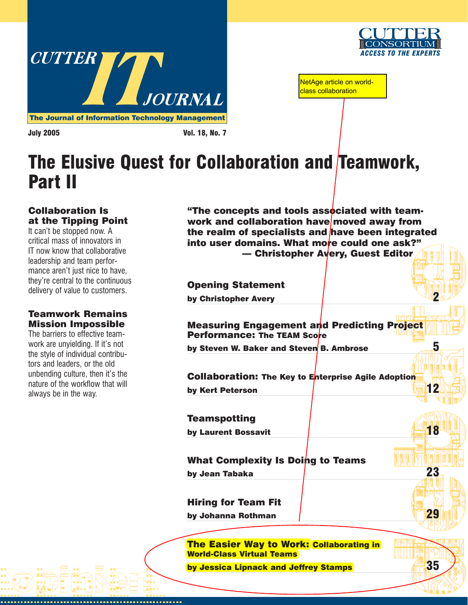



NetAge article on worldclass collaboration

July 2005 Vol. 18, No. 7

# [The Elusive Quest for Collaboration and Teamwork,](http://www.cutter.com) Part II

# Collaboration Is at the Tipping Point

It can't be stopped now. A critical mass of innovators in IT now know that collaborative leadership and team performance aren't just nice to have. they're central to the continuous delivery of value to customers.

# Teamwork Remains Mission Impossible

The barriers to effective teamwork are unyielding. If it's not the style of individual contributors and leaders, or the old unbending culture, then it's the nature of the workflow that will always be in the way.

"The concepts and tools associated with teamwork and collaboration have moved away from the realm of specialists and have been integrated into user domains. What more could one ask?" — Christopher Avery, Guest Editor

Opening Statement

by Christopher Avery 2008

Measuring Engagement and Predicting Project Performance: The TEAM Score

by Steven W. Baker and Steven B. Ambrose **5** 

Collaboration: The Key to Enterprise Agile Adoption by Kert Peterson **12** 

**Teamspotting** 

by Laurent Bossavit **18** 

What Complexity Is Doing to Teams by Jean Tabaka 23

Hiring for Team Fit

by Johanna Rothman 29

The Easier Way to Work: Collaborating in World-Class Virtual Teams

by Jessica Lipnack and Jeffrey Stamps **35**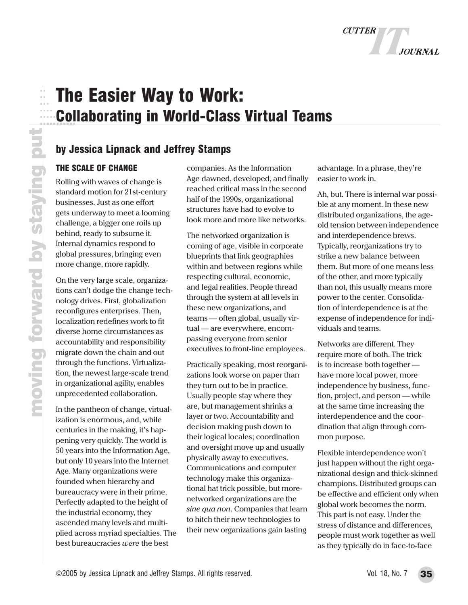

# The Easier Way to Work: Collaborating in World-Class Virtual Teams

# by Jessica Lipnack and Jeffrey Stamps

## THE SCALE OF CHANGE

Rolling with waves of change is standard motion for 21st-century businesses. Just as one effort gets underway to meet a looming challenge, a bigger one roils up behind, ready to subsume it. Internal dynamics respond to global pressures, bringing even more change, more rapidly.

On the very large scale, organizations can't dodge the change technology drives. First, globalization reconfigures enterprises. Then, localization redefines work to fit diverse home circumstances as accountability and responsibility migrate down the chain and out through the functions. Virtualization, the newest large-scale trend in organizational agility, enables unprecedented collaboration.

In the pantheon of change, virtualization is enormous, and, while centuries in the making, it's happening very quickly. The world is 50 years into the Information Age, but only 10 years into the Internet Age. Many organizations were founded when hierarchy and bureaucracy were in their prime. Perfectly adapted to the height of the industrial economy, they ascended many levels and multiplied across myriad specialties. The best bureaucracies *were* the best

companies. As the Information Age dawned, developed, and finally reached critical mass in the second half of the 1990s, organizational structures have had to evolve to look more and more like networks.

The networked organization is coming of age, visible in corporate blueprints that link geographies within and between regions while respecting cultural, economic, and legal realities. People thread through the system at all levels in these new organizations, and teams — often global, usually virtual — are everywhere, encompassing everyone from senior executives to front-line employees.

Practically speaking, most reorganizations look worse on paper than they turn out to be in practice. Usually people stay where they are, but management shrinks a layer or two. Accountability and decision making push down to their logical locales; coordination and oversight move up and usually physically away to executives. Communications and computer technology make this organizational hat trick possible, but morenetworked organizations are the *sine qua non*. Companies that learn to hitch their new technologies to their new organizations gain lasting

advantage. In a phrase, they're easier to work in.

Ah, but. There is internal war possible at any moment. In these new distributed organizations, the ageold tension between independence and interdependence brews. Typically, reorganizations try to strike a new balance between them. But more of one means less of the other, and more typically than not, this usually means more power to the center. Consolidation of interdependence is at the expense of independence for individuals and teams.

Networks are different. They require more of both. The trick is to increase both together have more local power, more independence by business, function, project, and person — while at the same time increasing the interdependence and the coordination that align through common purpose.

Flexible interdependence won't just happen without the right organizational design and thick-skinned champions. Distributed groups can be effective and efficient only when global work becomes the norm. This part is not easy. Under the stress of distance and differences, people must work together as well as they typically do in face-to-face

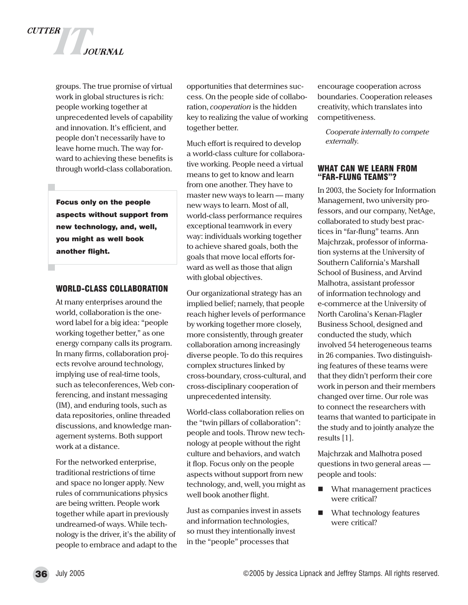

groups. The true promise of virtual work in global structures is rich: people working together at unprecedented levels of capability and innovation. It's efficient, and people don't necessarily have to leave home much. The way forward to achieving these benefits is through world-class collaboration.

Focus only on the people aspects without support from new technology, and, well, you might as well book another flight.

#### WORLD-CLASS COLLABORATION

At many enterprises around the world, collaboration is the oneword label for a big idea: "people working together better," as one energy company calls its program. In many firms, collaboration projects revolve around technology, implying use of real-time tools, such as teleconferences, Web conferencing, and instant messaging (IM), and enduring tools, such as data repositories, online threaded discussions, and knowledge management systems. Both support work at a distance.

For the networked enterprise, traditional restrictions of time and space no longer apply. New rules of communications physics are being written. People work together while apart in previously undreamed-of ways. While technology is the driver, it's the ability of people to embrace and adapt to the

opportunities that determines success. On the people side of collaboration, *cooperation* is the hidden key to realizing the value of working together better.

Much effort is required to develop a world-class culture for collaborative working. People need a virtual means to get to know and learn from one another. They have to master new ways to learn — many new ways to learn. Most of all, world-class performance requires exceptional teamwork in every way: individuals working together to achieve shared goals, both the goals that move local efforts forward as well as those that align with global objectives.

Our organizational strategy has an implied belief; namely, that people reach higher levels of performance by working together more closely, more consistently, through greater collaboration among increasingly diverse people. To do this requires complex structures linked by cross-boundary, cross-cultural, and cross-disciplinary cooperation of unprecedented intensity.

World-class collaboration relies on the "twin pillars of collaboration": people and tools. Throw new technology at people without the right culture and behaviors, and watch it flop. Focus only on the people aspects without support from new technology, and, well, you might as well book another flight.

Just as companies invest in assets and information technologies, so must they intentionally invest in the "people" processes that

encourage cooperation across boundaries. Cooperation releases creativity, which translates into competitiveness.

*Cooperate internally to compete externally.*

#### WHAT CAN WE LEARN FROM "FAR-FLUNG TEAMS"?

In 2003, the Society for Information Management, two university professors, and our company, NetAge, collaborated to study best practices in "far-flung" teams. Ann Majchrzak, professor of information systems at the University of Southern California's Marshall School of Business, and Arvind Malhotra, assistant professor of information technology and e-commerce at the University of North Carolina's Kenan-Flagler Business School, designed and conducted the study, which involved 54 heterogeneous teams in 26 companies. Two distinguishing features of these teams were that they didn't perform their core work in person and their members changed over time. Our role was to connect the researchers with teams that wanted to participate in the study and to jointly analyze the results [1].

Majchrzak and Malhotra posed questions in two general areas people and tools:

- What management practices were critical?
- **No. 3** What technology features were critical?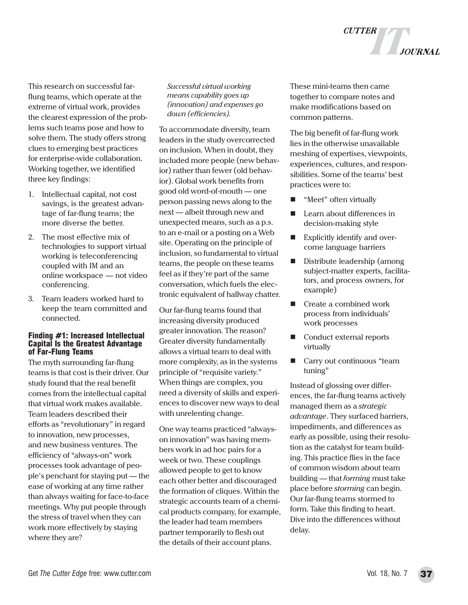This research on successful farflung teams, which operate at the extreme of virtual work, provides the clearest expression of the problems such teams pose and how to solve them. The study offers strong clues to emerging best practices for enterprise-wide collaboration. Working together, we identified three key findings:

- 1. Intellectual capital, not cost savings, is the greatest advantage of far-flung teams; the more diverse the better.
- 2. The most effective mix of technologies to support virtual working is teleconferencing coupled with IM and an online workspace — not video conferencing.
- 3. Team leaders worked hard to keep the team committed and connected.

#### Finding #1: Increased Intellectual Capital Is the Greatest Advantage of Far-Flung Teams

The myth surrounding far-flung teams is that cost is their driver. Our study found that the real benefit comes from the intellectual capital that virtual work makes available. Team leaders described their efforts as "revolutionary" in regard to innovation, new processes, and new business ventures. The efficiency of "always-on" work processes took advantage of people's penchant for staying put — the ease of working at any time rather than always waiting for face-to-face meetings. Why put people through the stress of travel when they can work more effectively by staying where they are?

*Successful virtual working means capability goes up (innovation) and expenses go down (efficiencies).*

To accommodate diversity, team leaders in the study overcorrected on inclusion. When in doubt, they included more people (new behavior) rather than fewer (old behavior). Global work benefits from good old word-of-mouth — one person passing news along to the next — albeit through new and unexpected means, such as a p.s. to an e-mail or a posting on a Web site. Operating on the principle of inclusion, so fundamental to virtual teams, the people on these teams feel as if they're part of the same conversation, which fuels the electronic equivalent of hallway chatter.

Our far-flung teams found that increasing diversity produced greater innovation. The reason? Greater diversity fundamentally allows a virtual team to deal with more complexity, as in the systems principle of "requisite variety." When things are complex, you need a diversity of skills and experiences to discover new ways to deal with unrelenting change.

One way teams practiced "alwayson innovation" was having members work in ad hoc pairs for a week or two. These couplings allowed people to get to know each other better and discouraged the formation of cliques. Within the strategic accounts team of a chemical products company, for example, the leader had team members partner temporarily to flesh out the details of their account plans.

These mini-teams then came together to compare notes and make modifications based on common patterns.

**CUTTER** 

The big benefit of far-flung work lies in the otherwise unavailable meshing of expertises, viewpoints, experiences, cultures, and responsibilities. Some of the teams' best practices were to:

- "Meet" often virtually
- Learn about differences in decision-making style
- **Explicitly identify and over**come language barriers
- Distribute leadership (among subject-matter experts, facilitators, and process owners, for example)
- Create a combined work process from individuals' work processes
- Conduct external reports virtually
- Carry out continuous "team tuning"

Instead of glossing over differences, the far-flung teams actively managed them as a *strategic advantage*. They surfaced barriers, impediments, and differences as early as possible, using their resolution as the catalyst for team building. This practice flies in the face of common wisdom about team building — that *forming* must take place before *storming* can begin. Our far-flung teams stormed to form. Take this finding to heart. Dive into the differences without delay.

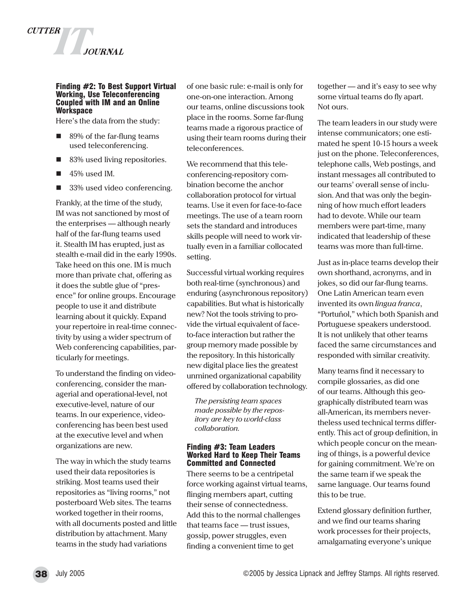

#### Finding #2: To Best Support Virtual Working, Use Teleconferencing Coupled with IM and an Online **Workspace**

Here's the data from the study:

- 89% of the far-flung teams used teleconferencing.
- 83% used living repositories.
- $\blacksquare$  45% used IM.
- 33% used video conferencing.

Frankly, at the time of the study, IM was not sanctioned by most of the enterprises — although nearly half of the far-flung teams used it. Stealth IM has erupted, just as stealth e-mail did in the early 1990s. Take heed on this one. IM is much more than private chat, offering as it does the subtle glue of "presence" for online groups. Encourage people to use it and distribute learning about it quickly. Expand your repertoire in real-time connectivity by using a wider spectrum of Web conferencing capabilities, particularly for meetings.

To understand the finding on videoconferencing, consider the managerial and operational-level, not executive-level, nature of our teams. In our experience, videoconferencing has been best used at the executive level and when organizations are new.

The way in which the study teams used their data repositories is striking. Most teams used their repositories as "living rooms," not posterboard Web sites. The teams worked together in their rooms, with all documents posted and little distribution by attachment. Many teams in the study had variations

of one basic rule: e-mail is only for one-on-one interaction. Among our teams, online discussions took place in the rooms. Some far-flung teams made a rigorous practice of using their team rooms during their teleconferences.

We recommend that this teleconferencing-repository combination become the anchor collaboration protocol for virtual teams. Use it even for face-to-face meetings. The use of a team room sets the standard and introduces skills people will need to work virtually even in a familiar collocated setting.

Successful virtual working requires both real-time (synchronous) and enduring (asynchronous repository) capabilities. But what is historically new? Not the tools striving to provide the virtual equivalent of faceto-face interaction but rather the group memory made possible by the repository. In this historically new digital place lies the greatest unmined organizational capability offered by collaboration technology.

*The persisting team spaces made possible by the repository are key to world-class collaboration.*

#### Finding #3: Team Leaders Worked Hard to Keep Their Teams Committed and Connected

There seems to be a centripetal force working against virtual teams, flinging members apart, cutting their sense of connectedness. Add this to the normal challenges that teams face — trust issues, gossip, power struggles, even finding a convenient time to get

together — and it's easy to see why some virtual teams do fly apart. Not ours.

The team leaders in our study were intense communicators; one estimated he spent 10-15 hours a week just on the phone. Teleconferences, telephone calls, Web postings, and instant messages all contributed to our teams' overall sense of inclusion. And that was only the beginning of how much effort leaders had to devote. While our team members were part-time, many indicated that leadership of these teams was more than full-time.

Just as in-place teams develop their own shorthand, acronyms, and in jokes, so did our far-flung teams. One Latin American team even invented its own *lingua franca*, "Portuñol," which both Spanish and Portuguese speakers understood. It is not unlikely that other teams faced the same circumstances and responded with similar creativity.

Many teams find it necessary to compile glossaries, as did one of our teams. Although this geographically distributed team was all-American, its members nevertheless used technical terms differently. This act of group definition, in which people concur on the meaning of things, is a powerful device for gaining commitment. We're on the same team if we speak the same language. Our teams found this to be true.

Extend glossary definition further, and we find our teams sharing work processes for their projects, amalgamating everyone's unique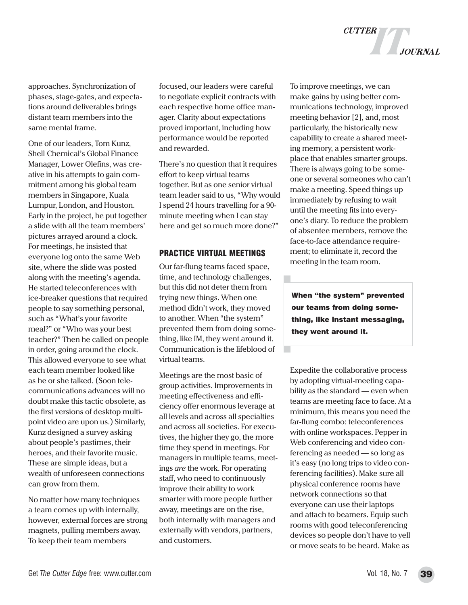

approaches. Synchronization of phases, stage-gates, and expectations around deliverables brings distant team members into the same mental frame.

One of our leaders, Tom Kunz, Shell Chemical's Global Finance Manager, Lower Olefins, was creative in his attempts to gain commitment among his global team members in Singapore, Kuala Lumpur, London, and Houston. Early in the project, he put together a slide with all the team members' pictures arrayed around a clock. For meetings, he insisted that everyone log onto the same Web site, where the slide was posted along with the meeting's agenda. He started teleconferences with ice-breaker questions that required people to say something personal, such as "What's your favorite meal?" or "Who was your best teacher?" Then he called on people in order, going around the clock. This allowed everyone to see what each team member looked like as he or she talked. (Soon telecommunications advances will no doubt make this tactic obsolete, as the first versions of desktop multipoint video are upon us.) Similarly, Kunz designed a survey asking about people's pastimes, their heroes, and their favorite music. These are simple ideas, but a wealth of unforeseen connections can grow from them.

No matter how many techniques a team comes up with internally, however, external forces are strong magnets, pulling members away. To keep their team members

focused, our leaders were careful to negotiate explicit contracts with each respective home office manager. Clarity about expectations proved important, including how performance would be reported and rewarded.

There's no question that it requires effort to keep virtual teams together. But as one senior virtual team leader said to us, "Why would I spend 24 hours travelling for a 90 minute meeting when I can stay here and get so much more done?"

#### PRACTICE VIRTUAL MEETINGS

Our far-flung teams faced space, time, and technology challenges, but this did not deter them from trying new things. When one method didn't work, they moved to another. When "the system" prevented them from doing something, like IM, they went around it. Communication is the lifeblood of virtual teams.

Meetings are the most basic of group activities. Improvements in meeting effectiveness and efficiency offer enormous leverage at all levels and across all specialties and across all societies. For executives, the higher they go, the more time they spend in meetings. For managers in multiple teams, meetings *are* the work. For operating staff, who need to continuously improve their ability to work smarter with more people further away, meetings are on the rise, both internally with managers and externally with vendors, partners, and customers.

To improve meetings, we can make gains by using better communications technology, improved meeting behavior [2], and, most particularly, the historically new capability to create a shared meeting memory, a persistent workplace that enables smarter groups. There is always going to be someone or several someones who can't make a meeting. Speed things up immediately by refusing to wait until the meeting fits into everyone's diary. To reduce the problem of absentee members, remove the face-to-face attendance requirement; to eliminate it, record the meeting in the team room.

When "the system" prevented our teams from doing something, like instant messaging, they went around it.

Expedite the collaborative process by adopting virtual-meeting capability as the standard — even when teams are meeting face to face. At a minimum, this means you need the far-flung combo: teleconferences with online workspaces. Pepper in Web conferencing and video conferencing as needed — so long as it's easy (no long trips to video conferencing facilities). Make sure all physical conference rooms have network connections so that everyone can use their laptops and attach to beamers. Equip such rooms with good teleconferencing devices so people don't have to yell or move seats to be heard. Make as